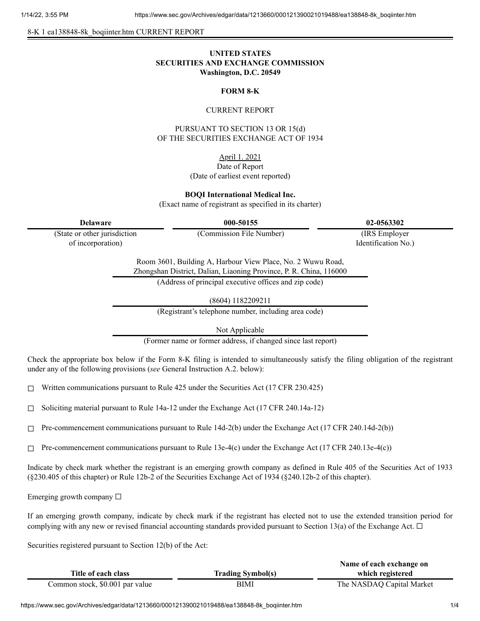8-K 1 ea138848-8k\_boqiinter.htm CURRENT REPORT

# **UNITED STATES SECURITIES AND EXCHANGE COMMISSION Washington, D.C. 20549**

### **FORM 8-K**

#### CURRENT REPORT

PURSUANT TO SECTION 13 OR 15(d) OF THE SECURITIES EXCHANGE ACT OF 1934

# April 1. 2021

#### Date of Report (Date of earliest event reported)

**BOQI International Medical Inc.**

(Exact name of registrant as specified in its charter)

**Delaware 000-50155 02-0563302**

(State or other jurisdiction of incorporation)

(Commission File Number) (IRS Employer

Identification No.)

Room 3601, Building A, Harbour View Place, No. 2 Wuwu Road, Zhongshan District, Dalian, Liaoning Province, P. R. China, 116000

(Address of principal executive offices and zip code)

(8604) 1182209211

(Registrant's telephone number, including area code)

Not Applicable

(Former name or former address, if changed since last report)

Check the appropriate box below if the Form 8-K filing is intended to simultaneously satisfy the filing obligation of the registrant under any of the following provisions (*see* General Instruction A.2. below):

 $\Box$  Written communications pursuant to Rule 425 under the Securities Act (17 CFR 230.425)

 $\Box$  Soliciting material pursuant to Rule 14a-12 under the Exchange Act (17 CFR 240.14a-12)

 $\Box$  Pre-commencement communications pursuant to Rule 14d-2(b) under the Exchange Act (17 CFR 240.14d-2(b))

 $\Box$  Pre-commencement communications pursuant to Rule 13e-4(c) under the Exchange Act (17 CFR 240.13e-4(c))

Indicate by check mark whether the registrant is an emerging growth company as defined in Rule 405 of the Securities Act of 1933 (§230.405 of this chapter) or Rule 12b-2 of the Securities Exchange Act of 1934 (§240.12b-2 of this chapter).

Emerging growth company  $\Box$ 

If an emerging growth company, indicate by check mark if the registrant has elected not to use the extended transition period for complying with any new or revised financial accounting standards provided pursuant to Section 13(a) of the Exchange Act.  $\Box$ 

Securities registered pursuant to Section 12(b) of the Act:

|                                 |                          | Name of each exchange on  |
|---------------------------------|--------------------------|---------------------------|
| Title of each class             | <b>Trading Symbol(s)</b> | which registered          |
| Common stock, \$0.001 par value | BIMI                     | The NASDAQ Capital Market |

https://www.sec.gov/Archives/edgar/data/1213660/000121390021019488/ea138848-8k\_boqiinter.htm 1/4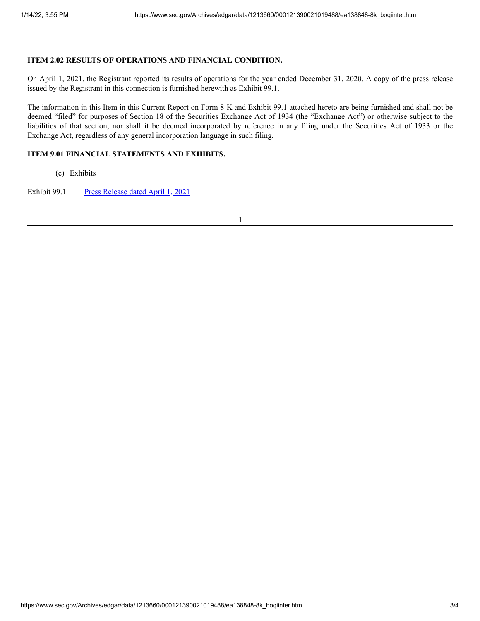## **ITEM 2.02 RESULTS OF OPERATIONS AND FINANCIAL CONDITION.**

On April 1, 2021, the Registrant reported its results of operations for the year ended December 31, 2020. A copy of the press release issued by the Registrant in this connection is furnished herewith as Exhibit 99.1.

The information in this Item in this Current Report on Form 8-K and Exhibit 99.1 attached hereto are being furnished and shall not be deemed "filed" for purposes of Section 18 of the Securities Exchange Act of 1934 (the "Exchange Act") or otherwise subject to the liabilities of that section, nor shall it be deemed incorporated by reference in any filing under the Securities Act of 1933 or the Exchange Act, regardless of any general incorporation language in such filing.

# **ITEM 9.01 FINANCIAL STATEMENTS AND EXHIBITS.**

(c) Exhibits

Exhibit 99.1 Press [Release](https://www.sec.gov/Archives/edgar/data/1213660/000121390021019488/ea13884899-1_boqiinter.htm) dated April 1, 2021